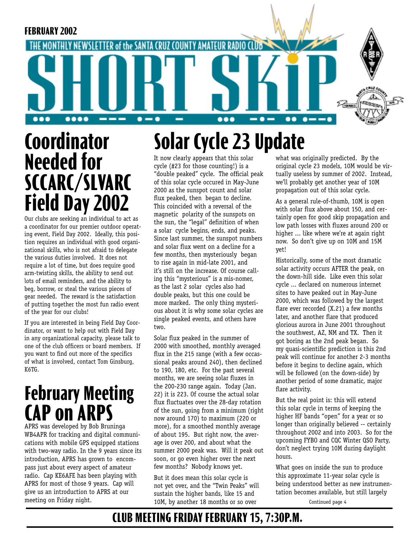

# **Coordinator Needed for SCCARC/SLVARC Field Day 2002**

Our clubs are seeking an individual to act as a coordinator for our premier outdoor operating event, Field Day 2002. Ideally, this position requires an individual with good organizational skills, who is not afraid to delegate the various duties involved. It does not require a lot of time, but does require good arm-twisting skills, the ability to send out lots of email reminders, and the ability to beg, borrow, or steal the various pieces of gear needed. The reward is the satisfaction of putting together the most fun radio event of the year for our clubs!

If you are interested in being Field Day Coordinator, or want to help out with Field Day in any organizational capacity, please talk to one of the club officers or board members. If you want to find out more of the specifics of what is involved, contact Tom Ginsburg, K6TG.

# **February Meeting CAP on ARPS**

APRS was developed by Bob Bruninga WB4APR for tracking and digital communications with mobile GPS equipped stations with two-way radio. In the 9 years since its introduction, APRS has grown to encompass just about every aspect of amateur radio. Cap KE6AFE has been playing with APRS for most of those 9 years. Cap will give us an introduction to APRS at our meeting on Friday night.

# **Solar Cycle 23 Update**

It now clearly appears that this solar cycle (#23 for those counting!) is a "double peaked" cycle. The official peak of this solar cycle occured in May-June 2000 as the sunspot count and solar flux peaked, then began to decline. This coincided with a reversal of the magnetic polarity of the sunspots on the sun, the "legal" definition of when a solar cycle begins, ends, and peaks. Since last summer, the sunspot numbers and solar flux went on a decline for a few months, then mysteriously began to rise again in mid-late 2001, and it's still on the increase. Of course calling this "mysterious" is a mis-nomer, as the last 2 solar cycles also had double peaks, but this one could be more marked. The only thing mysterious about it is why some solar cycles are single peaked events, and others have two.

Solar flux peaked in the summer of 2000 with smoothed, monthly averaged flux in the 215 range (with a few occassional peaks around 240), then declined to 190, 180, etc. For the past several months, we are seeing solar fluxes in the 200-230 range again. Today (Jan. 22) it is 223. Of course the actual solar flux fluctuates over the 28-day rotation of the sun, going from a minimum (right now around 170) to maximum (220 or more), for a smoothed monthly average of about 195. But right now, the average is over 200, and about what the summer 2000 peak was. Will it peak out soon, or go even higher over the next few months? Nobody knows yet.

But it does mean this solar cycle is not yet over, and the "Twin Peaks" will sustain the higher bands, like 15 and 10M, by another 18 months or so over

what was originally predicted. By the original cycle 23 models, 10M would be virtually useless by summer of 2002. Instead, we'll probably get another year of 10M propagation out of this solar cycle.

As a general rule-of-thumb, 10M is open with solar flux above about 150, and certainly open for good skip propagation and low path losses with fluxes around 200 or higher ... like where we're at again right now. So don't give up on 10M and 15M yet!

Historically, some of the most dramatic solar activity occurs AFTER the peak, on the down-hill side. Like even this solar cycle ... declared on numerous internet sites to have peaked out in May-June 2000, which was followed by the largest flare ever recorded (X.21) a few months later, and another flare that produced glorious aurora in June 2001 throughout the southwest, AZ, NM and TX. Then it got boring as the 2nd peak began. So my quasi-scientific prediction is this 2nd peak will continue for another 2-3 months before it begins to decline again, which will be followed (on the down-side) by another period of some dramatic, major flare activity.

But the real point is: this will extend this solar cycle in terms of keeping the higher HF bands "open" for a year or so longer than originally believed -- certainly throughout 2002 and into 2003. So for the upcoming FYBO and CQC Winter QSO Party, don't neglect trying 10M during daylight hours.

What goes on inside the sun to produce this approximate 11-year solar cycle is being understood better as new instrumentation becomes available, but still largely

Continued page 4

### **CLUB MEETING FRIDAY FEBRUARY 15, 7:30P.M.**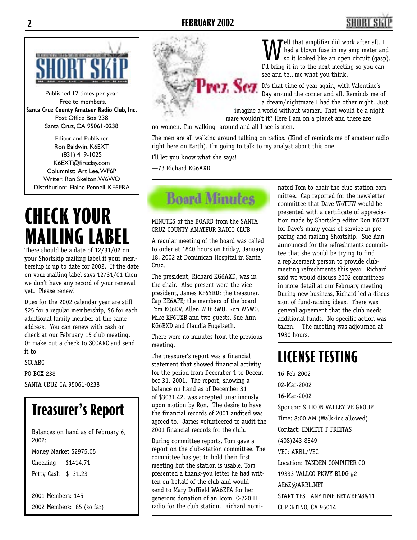# **2 FEBRUARY 2002 3**



Published 12 times per year. Free to members. **Santa Cruz County Amateur Radio Club, Inc.** Post Office Box 238 Santa Cruz, CA 95061-0238

Editor and Publisher Ron Baldwin, K6EXT (831) 419-1025 K6EXT@fireclay.com Columnist: Art Lee, WF6P Writer: Ron Skelton, W6WO Distribution: Elaine Pennell, KE6FRA

# **CHECK YOUR MAILING LABEL**

There should be a date of 12/31/02 on your Shortskip mailing label if your membership is up to date for 2002. If the date on your mailing label says 12/31/01 then we don't have any record of your renewal yet. Please renew!

Dues for the 2002 calendar year are still \$25 for a regular membership, \$6 for each additional family member at the same address. You can renew with cash or check at our February 15 club meeting. Or make out a check to SCCARC and send it to

SCCARC

PO BOX 238 SANTA CRUZ CA 95061-0238

## **Treasurer's Report**

Balances on hand as of February 6, 2002:

Money Market \$2975.05 Checking \$1414.71 Petty Cash \$ 31.23

2001 Members: 145 2002 Members: 85 (so far)



Tell that amplifier did work after all. I had a blown fuse in my amp meter and so it looked like an open circuit (gasp). I'll bring it in to the next meeting so you can see and tell me what you think.

**It's that time of year again, with Valentine's** Day around the corner and all. Reminds me of a dream/nightmare I had the other night. Just

> imagine a world without women. That would be a night mare wouldn't it? Here I am on a planet and there are

no women. I'm walking around and all I see is men.

The men are all walking around talking on radios. (Kind of reminds me of amateur radio right here on Earth). I'm going to talk to my analyst about this one.

I'll let you know what she says!

—73 Richard KG6AXD



MINUTES of the BOARD from the SANTA CRUZ COUNTY AMATEUR RADIO CLUB

A regular meeting of the board was called to order at 1840 hours on Friday, January 18, 2002 at Dominican Hospital in Santa Cruz.

The president, Richard KG6AXD, was in the chair. Also present were the vice president, James KF6YRD; the treasurer, Cap KE6AFE; the members of the board Tom KQ6DV, Allen WB6RWU, Ron W6WO, Mike KF6UXB and two guests, Sue Ann KG6BXD and Claudia Fugelseth.

There were no minutes from the previous meeting.

The treasurer's report was a financial statement that showed financial activity for the period from December 1 to December 31, 2001. The report, showing a balance on hand as of December 31 of \$3031.42, was accepted unanimously upon motion by Ron. The desire to have the financial records of 2001 audited was agreed to. James volunteered to audit the 2001 financial records for the club.

During committee reports, Tom gave a report on the club-station committee. The committee has yet to hold their first meeting but the station is usable. Tom presented a thank-you letter he had written on behalf of the club and would send to Mary Duffield WA6KFA for her generous donation of an Icom IC-720 HF radio for the club station. Richard nominated Tom to chair the club station committee. Cap reported for the newsletter committee that Dave W6TUW would be presented with a certificate of appreciation made by Shortskip editor Ron K6EXT for Dave's many years of service in preparing and mailing Shortskip. Sue Ann announced for the refreshments committee that she would be trying to find a replacement person to provide clubmeeting refreshments this year. Richard said we would discuss 2002 committees in more detail at our February meeting During new business, Richard led a discussion of fund-raising ideas. There was general agreement that the club needs additional funds. No specific action was taken. The meeting was adjourned at 1930 hours.

### **LICENSE TESTING**

16-Feb-2002 02-Mar-2002 16-Mar-2002 Sponsor: SILICON VALLEY VE GROUP Time: 8:00 AM (Walk-ins allowed) Contact: EMMETT F FREITAS (408)243-8349 VEC: ARRL/VEC Location: TANDEM COMPUTER CO 19333 VALLCO PKWY BLDG #2 AE6Z@ARRL.NET START TEST ANYTIME BETWEEN8&11 CUPERTINO, CA 95014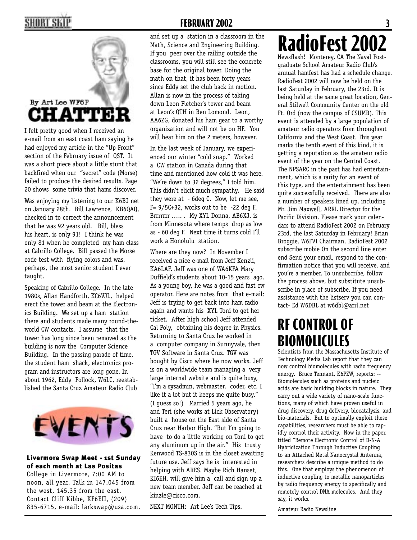

I felt pretty good when I received an e-mail from an east coast ham saying he had enjoyed my article in the "Up Front" section of the February issue of QST. It was a short piece about a little stunt that backfired when our "secret" code (Morse) failed to produce the desired results. Page 20 shows some trivia that hams discover.

Was enjoying my listening to our K6BJ net on January 28th. Bill Lawrence, KB6QAQ, checked in to correct the announcement that he was 92 years old. Bill, bless his heart, is only 91! I think he was only 81 when he completed my ham class at Cabrillo College. Bill passed the Morse code test with flying colors and was, perhaps, the most senior student I ever taught.

Speaking of Cabrillo College. In the late 1980s, Allan Handforth, KC6VJL, helped erect the tower and beam at the Electronics Building. We set up a ham station there and students made many round-theworld CW contacts. I assume that the tower has long since been removed as the building is now the Computer Science Building. In the passing parade of time, the student ham shack, electronics program and instructors are long gone. In about 1962, Eddy Pollock, W6LC, reestablished the Santa Cruz Amateur Radio Club



#### Livermore Swap Meet - 1st Sunday of each month at Las Positas

College in Livermore, 7:00 AM to noon, all year. Talk in 147.045 from the west, 145.35 from the east. Contact Cliff Kibbe, KF6EII, (209) 835-6715, e-mail: larkswap@usa.com.

### **2 FEBRUARY 2002 3**

and set up a station in a classroom in the Math, Science and Engineering Building. If you peer over the railing outside the classrooms, you will still see the concrete base for the original tower. Doing the math on that, it has been forty years since Eddy set the club back in motion. Allan is now in the process of taking down Leon Fletcher's tower and beam at Leon's QTH in Ben Lomond. Leon, AA6ZG, donated his ham gear to a worthy organization and will not be on HF. You will hear him on the 2 meters, however.

In the last week of January, we experienced our winter "cold snap." Worked a CW station in Canada during that time and mentioned how cold it was here. "We're down to 32 degrees," I told him. This didn't elicit much sympathy. He said they were at - 6deg C. Now, let me see, F= 9/5C+32, works out to be -22 deg F. Brrrrrrr ..... . My XYL Donna, AB6XJ, is from Minnesota where temps drop as low as - 60 deg F. Next time it turns cold I'll work a Honolulu station.

Where are they now? In November I received a nice e-mail from Jeff Kenzli, KA6LAF. Jeff was one of WA6KFA Mary Duffield's students about 10-15 years ago. As a young boy, he was a good and fast cw operator. Here are notes from that e-mail: Jeff is trying to get back into ham radio again and wants his XYL Toni to get her ticket. After high school Jeff attended Cal Poly, obtaining his degree in Physics. Returning to Santa Cruz he worked in a computer company in Sunnyvale, then TGV Software in Santa Cruz. TGV was bought by Cisco where he now works. Jeff is on a worldwide team managing a very large internal website and is quite busy, "I'm a sysadmin, webmaster, coder, etc. I like it a lot but it keeps me quite busy." (I guess so!) Married 5 years ago, he and Teri (she works at Lick Observatory) built a house on the East side of Santa Cruz near Harbor High. "But I'm going to have to do a little working on Toni to get any aluminum up in the air." His trusty Kenwood TS-830S is in the closet awaiting future use. Jeff says he is interested in helping with ARES. Maybe Rich Hanset, KI6EH, will give him a call and sign up a new team member. Jeff can be reached at kinzle@cisco.com.

NEXT MONTH: Art Lee's Tech Tips.

# **RadioFest 200**

Newsflash! Monterey, CA The Naval Postgraduate School Amateur Radio Club's annual hamfest has had a schedule change. RadioFest 2002 will now be held on the last Saturday in February, the 23rd. It is being held at the same great location, General Stilwell Community Center on the old Ft. Ord (now the campus of CSUMB). This event is attended by a large population of amateur radio operators from throughout California and the West Coast. This year marks the tenth event of this kind, it is getting a reputation as the amateur radio event of the year on the Central Coast. The NPSARC in the past has had entertainment, which is a rarity for an event of this type, and the entertainment has been quite successfully received. There are also a number of speakers lined up, including Mr. Jim Maxwell, ARRL Director for the Pacific Division. Please mark your calendars to attend RadioFest 2002 on February 23rd, the last Saturday in February! Brian Broggie, W6FVI Chairman, RadioFest 2002 subscribe mobie On the second line enter end Send your email, respond to the confirmation notice that you will receive, and you're a member. To unsubscribe, follow the process above, but substitute unsubscribe in place of subscribe. If you need assistance with the listserv you can contact- Ed W6DBL at w6dbl@arrl.net

### **RF CONTROL OF BIOMOLICULES**

Scientists from the Massachusetts Institute of Technology Media Lab report that they can now control biomolecules with radio frequency energy. Bruce Tennant, K6PZW, reports: -- Biomolecules such as proteins and nucleic acids are basic building blocks in nature. They carry out a wide variety of nano-scale functions, many of which have proven useful in drug discovery, drug delivery, biocatalysis, and bio-materials. But to optimally exploit these capabilities, researchers must be able to rapidly control their activity. Now in the paper, titled "Remote Electronic Control of D-N-A Hybridization Through Inductive Coupling to an Attached Metal Nanocrystal Antenna, researchers describe a unique method to do this. One that employs the phenomenon of inductive coupling to metallic nanoparticles by radio frequency energy to specifically and remotely control DNA molecules. And they say, it works.

Amateur Radio Newsline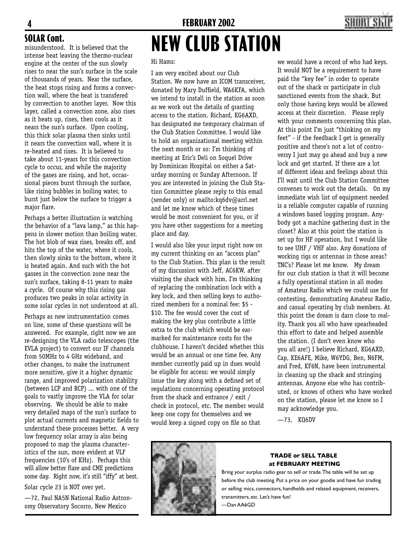

misunderstood. It is believed that the intense heat leaving the thermo-nuclear engine at the center of the sun slowly rises to near the sun's surface in the scale of thousands of years. Near the surface, the heat stops rising and forms a convection wall, where the heat is transfered by convection to another layer. Now this layer, called a convection zone, also rises as it heats up, rises, then cools as it nears the sun's surface. Upon cooling, this thick solar plasma then sinks until it nears the convection wall, where it is re-heated and rises. It is believed to take about 11-years for this convection cycle to occur, and while the majority of the gases are rising, and hot, occassional pieces burst through the surface, like rising bubbles in boiling water, to burst just below the surface to trigger a major flare. SOLAR Cont.<br>**misunderstood.** It is believed that the **NEW CLUB STATION** 

Perhaps a better illustration is watching the behavior of a "lava lamp," as this happens in slower motion than boiling water. The hot blob of wax rises, breaks off, and hits the top of the water, where it cools, then slowly sinks to the bottom, where it is heated again. And such with the hot gasses in the convection zone near the sun's surface, taking 8-11 years to make a cycle. Of course why this rising gas produces two peaks in solar activity in some solar cycles in not understood at all.

Perhaps as new instrumentation comes on line, some of these questions will be answered. For example, right now we are re-designing the VLA radio telescopes (the EVLA project) to convert our IF channels from 50MHz to 4 GHz wideband, and other changes, to make the instrument more sensitive, give it a higher dynamic range, and improved polarization stability (between LCP and RCP) ... with one of the goals to vastly improve the VLA for solar observing. We should be able to make very detailed maps of the sun's surface to plot actual currents and magnetic fields to understand these processes better. A very low frequency solar array is also being proposed to map the plasma characteristics of the sun, more evident at VLF frequencies (10's of KHz). Perhaps this will allow better flare and CME predictions some day. Right now, it's still "iffy" at best.

Solar cycle 23 is NOT over yet.

—72, Paul NA5N National Radio Astronomy Observatory Socorro, New Mexico

#### Hi Hams:

I am very excited about our Club Station. We now have an ICOM transceiver, donated by Mary Duffield, WA6KFA, which we intend to install in the station as soon as we work out the details of granting access to the station. Richard, KG6AXD, has designated me temporary chairman of the Club Station Committee. I would like to hold an organizational meeting within the next month or so: I'm thinking of meeting at Eric's Deli on Soquel Drive by Dominican Hospital on either a Saturday morning or Sunday Afternoon. If you are interested in joining the Club Station Committee please reply to this email (sender only) or mailto:kq6dv@arrl.net and let me know which of these times would be most convenient for you, or if you have other suggestions for a meeting place and day.

I would also like your input right now on my current thinking on an "access plan" to the Club Station. This plan is the result of my discussion with Jeff, AC6KW, after visiting the shack with him. I'm thinking of replacing the combination lock with a key lock, and then selling keys to authorized members for a nominal fee: \$5 - \$10. The fee would cover the cost of making the key plus contribute a little extra to the club which would be earmarked for maintenance costs for the clubhouse. I haven't decided whether this would be an annual or one time fee. Any member currently paid up in dues would be eligible for access: we would simply issue the key along with a defined set of regulations concerning operating protocol from the shack and entrance / exit / check in protocol, etc. The member would keep one copy for themselves and we would keep a signed copy on file so that



—73, KQ6DV



#### **TRADE or SELL TABLE at FEBRUARY MEETING**

Bring your surplus radio gear to sell or trade. The table will be set up before the club meeting. Put a price on your goodie and have fun trading or selling: mics, connectors, handhelds and related equipment, receivers, transmitters, etc. Let's have fun! —Dan AA6GD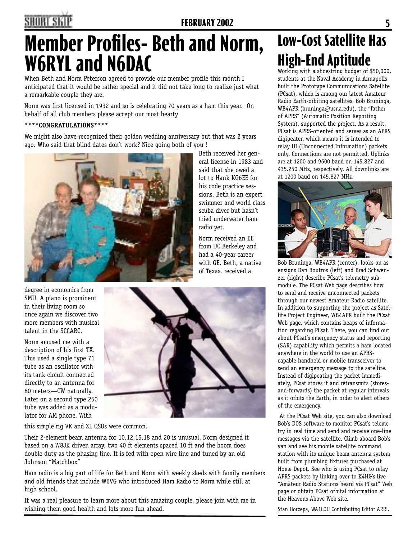### **4 FEBRUARY 2002 5**

Beth received her general license in 1983 and said that she owed a lot to Hank KG6EE for his code practice sessions. Beth is an expert swimmer and world class scuba diver but hasn't tried underwater ham

radio yet.

Norm received an EE from UC Berkeley and had a 40-year career with GE. Beth, a native of Texas, received a

# **Member Profiles- Beth and Norm, W6RYL and N6DAC**

When Beth and Norm Peterson agreed to provide our member profile this month I anticipated that it would be rather special and it did not take long to realize just what a remarkable couple they are.

Norm was first licensed in 1932 and so is celebrating 70 years as a ham this year. On behalf of all club members please accept our most hearty

#### **\*\*\*\*CONGRATULATIONS\*\*\*\***

We might also have recognized their golden wedding anniversary but that was 2 years ago. Who said that blind dates don't work? Nice going both of you !



degree in economics from SMU. A piano is prominent in their living room so once again we discover two more members with musical talent in the SCCARC.

Norm amused me with a description of his first TX. This used a single type 71 tube as an oscillator with its tank circuit connected directly to an antenna for 80 meters—CW naturally. Later on a second type 250 tube was added as a modulator for AM phone. With



this simple rig VK and ZL QSOs were common.

Their 2-element beam antenna for 10,12,15,18 and 20 is unusual, Norm designed it based on a W8JK driven array, two 40 ft elements spaced 10 ft and the boom does double duty as the phasing line. It is fed with open wire line and tuned by an old Johnson "Matchbox"

Ham radio is a big part of life for Beth and Norm with weekly skeds with family members and old friends that include W6VG who introduced Ham Radio to Norm while still at high school.

It was a real pleasure to learn more about this amazing couple, please join with me in wishing them good health and lots more fun ahead.

# **Low-Cost Satellite Has High-End Aptitude**<br>Working with a shoestring budget of \$50,000,

students at the Naval Academy in Annapolis built the Prototype Communications Satellite (PCsat), which is among our latest Amateur Radio Earth-orbiting satellites. Bob Bruninga, WB4APR (bruninga@usna.edu), the "father of APRS" (Automatic Position Reporting System), supported the project. As a result, PCsat is APRS-oriented and serves as an APRS digipeater, which means it is intended to relay UI (Unconnected Information) packets only. Connections are not permitted. Uplinks are at 1200 and 9600 baud on 145.827 and 435.250 MHz, respectively. All downlinks are at 1200 baud on 145.827 MHz.



Bob Bruninga, WB4APR (center), looks on as ensigns Dan Boutros (left) and Brad Schwenzer (right) describe PCsat's telemetry submodule. The PCsat Web page describes how to send and receive unconnected packets through our newest Amateur Radio satellite. In addition to supporting the project as Satellite Project Engineer, WB4APR built the PCsat Web page, which contains heaps of information regarding PCsat. There, you can find out about PCsat's emergency status and reporting (SAR) capability which permits a ham located anywhere in the world to use an APRScapable handheld or mobile transceiver to send an emergency message to the satellite. Instead of digipeating the packet immediately, PCsat stores it and retransmits (storesand-forwards) the packet at regular intervals as it orbits the Earth, in order to alert others of the emergency.

 At the PCsat Web site, you can also download Bob's DOS software to monitor PCsat's telemetry in real time and send and receive one-line messages via the satellite. Climb aboard Bob's van and see his mobile satellite command station with its unique beam antenna system built from plumbing fixtures purchased at Home Depot. See who is using PCsat to relay APRS packets by linking over to K4HG's live "Amateur Radio Stations heard via PCsat" Web page or obtain PCsat orbital information at the Heavens Above Web site.

Stan Horzepa, WA1LOU Contributing Editor ARRL